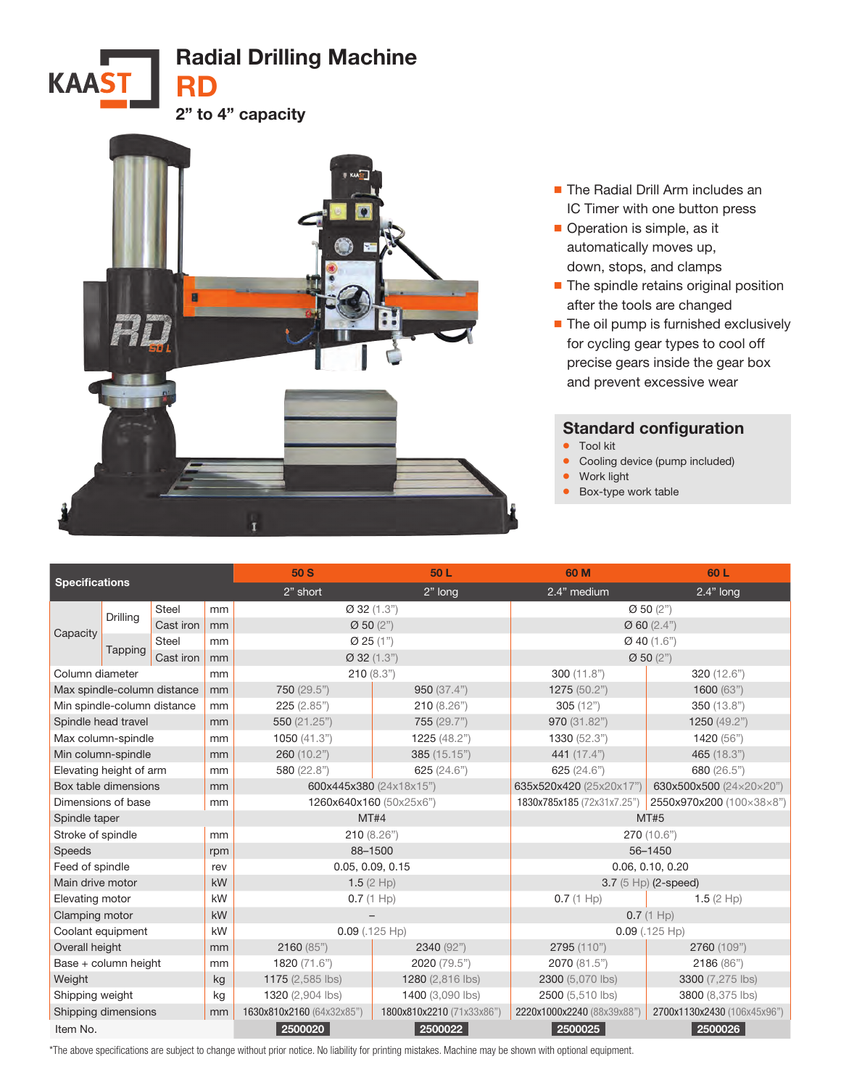



- The Radial Drill Arm includes an IC Timer with one button press
- Operation is simple, as it automatically moves up, down, stops, and clamps
- The spindle retains original position after the tools are changed
- The oil pump is furnished exclusively for cycling gear types to cool off precise gears inside the gear box and prevent excessive wear

## Standard configuration

- Tool kit
- Cooling device (pump included)
- Work light
- Box-type work table

| <b>Specifications</b>       |          |           |                                          | 50 S                      | 50L                           | 60 M                        | 60 L                     |  |
|-----------------------------|----------|-----------|------------------------------------------|---------------------------|-------------------------------|-----------------------------|--------------------------|--|
|                             |          |           |                                          | 2" short                  | 2" long                       | 2.4" medium                 | $2.4"$ long              |  |
| Capacity                    | Drilling | Steel     | mm                                       | Ø 32 (1.3")               |                               | $\varnothing$ 50 (2")       |                          |  |
|                             |          | Cast iron | mm                                       | Ø 50 (2")                 |                               | Ø 60 (2.4")                 |                          |  |
|                             |          | Steel     | mm                                       | Ø 25 (1")                 |                               | $Q$ 40 (1.6")               |                          |  |
|                             | Tapping  | Cast iron | mm                                       | $Q$ 32 (1.3")             |                               | $\varnothing$ 50 (2")       |                          |  |
| Column diameter             |          | mm        | 210(8.3")                                |                           | 300(11.8")                    | 320 (12.6")                 |                          |  |
| Max spindle-column distance |          | mm        | 750 (29.5")                              | 950(37.4")                | 1275 (50.2")                  | 1600(63")                   |                          |  |
| Min spindle-column distance |          | mm        | 225(2.85")                               | 210(8.26")                | 305(12")                      | 350 (13.8")                 |                          |  |
| Spindle head travel         |          | mm        | 550 (21.25")                             | 755 (29.7")               | 970 (31.82")                  | 1250 (49.2")                |                          |  |
| Max column-spindle          |          |           | mm                                       | 1050 $(41.3")$            | 1225 (48.2")                  | 1330 (52.3")                | 1420 (56")               |  |
| Min column-spindle          |          |           | mm                                       | 260 (10.2")               | 385 (15.15")                  | 441 (17.4")                 | 465 (18.3")              |  |
| Elevating height of arm     |          | mm        | 580 (22.8")                              | 625(24.6")                | 625 (24.6")                   | 680 (26.5")                 |                          |  |
| Box table dimensions        |          |           | mm                                       | 600x445x380 (24x18x15")   |                               | 635x520x420 (25x20x17")     | 630x500x500 (24×20×20")  |  |
| Dimensions of base          |          |           | mm                                       | 1260x640x160 (50x25x6")   |                               | 1830x785x185 (72x31x7.25")  | 2550x970x200 (100×38×8") |  |
| Spindle taper               |          |           |                                          | MT#4                      |                               | <b>MT#5</b>                 |                          |  |
| Stroke of spindle           |          | mm        | 210(8.26")                               |                           | 270 (10.6")                   |                             |                          |  |
| Speeds                      |          | rpm       | 88-1500                                  |                           | 56-1450                       |                             |                          |  |
| Feed of spindle             |          | rev       | 0.05, 0.09, 0.15                         |                           | 0.06, 0.10, 0.20              |                             |                          |  |
| Main drive motor            |          | kW        | 1.5 $(2$ Hp)                             |                           | $3.7(5 \text{ Hp})$ (2-speed) |                             |                          |  |
| Elevating motor             |          | kW        | $0.7(1 \text{ Hp})$                      |                           | $0.7(1 \text{ Hp})$           | 1.5 $(2$ Hp)                |                          |  |
| Clamping motor              |          | kW        |                                          |                           | 0.7(1 Hp)                     |                             |                          |  |
| Coolant equipment           |          | kW        | $0.09$ (.125 Hp)                         |                           | $0.09$ (.125 Hp)              |                             |                          |  |
| Overall height              |          | mm        | 2160(85")                                | 2340 (92")                | 2795 (110")                   | 2760 (109")                 |                          |  |
| Base + column height        |          | mm        | 1820 (71.6")                             | 2020 (79.5")              | 2070 (81.5")                  | 2186 (86")                  |                          |  |
| Weight                      |          | kg        | 1175 (2,585 lbs)                         | 1280 (2,816 lbs)          | 2300 (5,070 lbs)              | 3300 (7,275 lbs)            |                          |  |
| Shipping weight             |          | kg        | 1320 (2,904 lbs)                         | 1400 (3,090 lbs)          | 2500 (5,510 lbs)              | 3800 (8.375 lbs)            |                          |  |
| Shipping dimensions         |          | mm        | 1630x810x2160 (64x32x85")                | 1800x810x2210 (71x33x86") | 2220x1000x2240 (88x39x88")    | 2700x1130x2430 (106x45x96") |                          |  |
| Item No.                    |          |           | 2500020<br>2500022<br>2500025<br>2500026 |                           |                               |                             |                          |  |

\*The above specifications are subject to change without prior notice. No liability for printing mistakes. Machine may be shown with optional equipment.